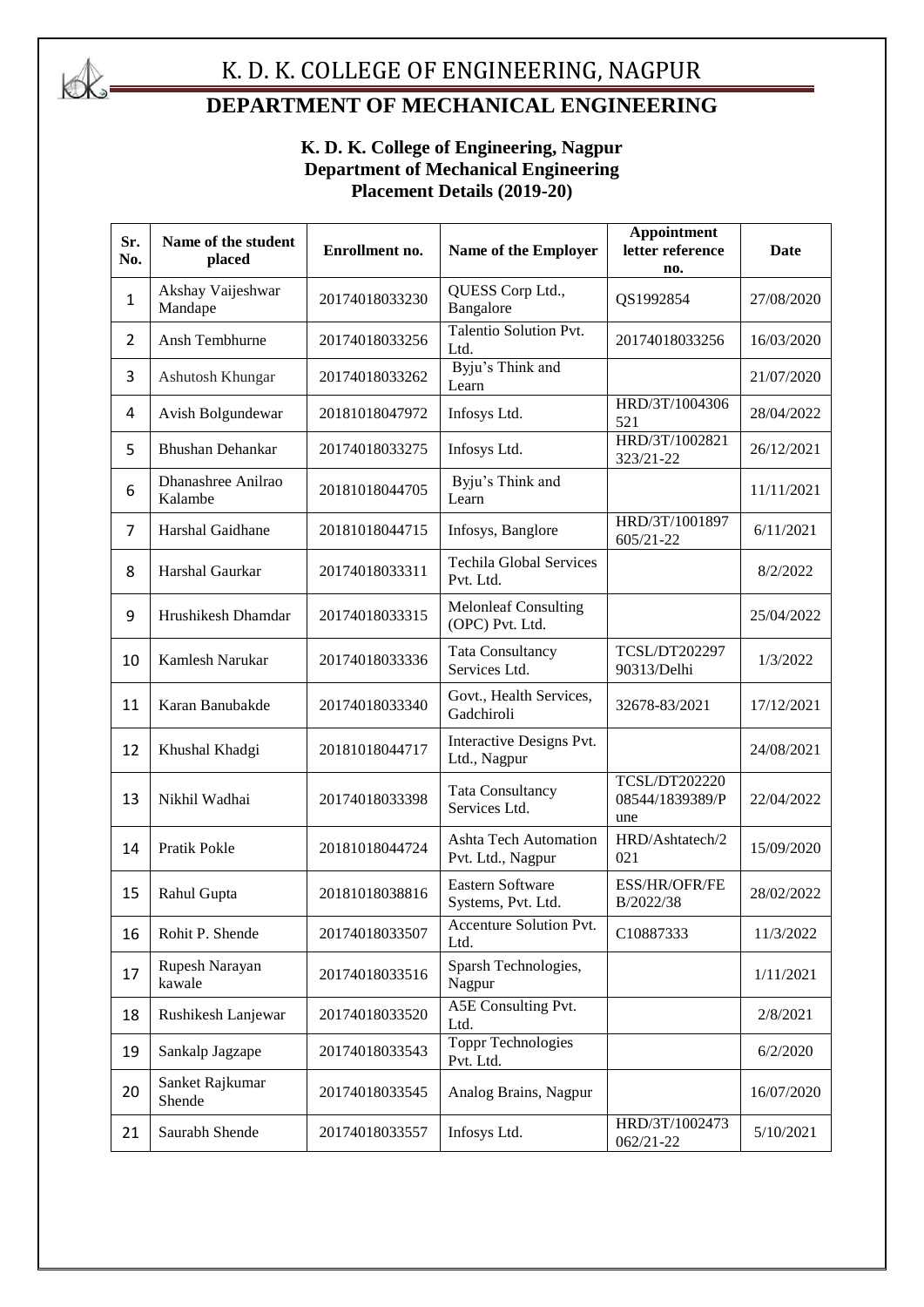

# K. D. K. COLLEGE OF ENGINEERING, NAGPUR

## **DEPARTMENT OF MECHANICAL ENGINEERING**

#### **K. D. K. College of Engineering, Nagpur Department of Mechanical Engineering Placement Details (2019-20)**

| Sr.<br>No.     | Name of the student<br>placed | Enrollment no. | Name of the Employer                              | <b>Appointment</b><br>letter reference<br>no.  | <b>Date</b> |
|----------------|-------------------------------|----------------|---------------------------------------------------|------------------------------------------------|-------------|
| $\mathbf{1}$   | Akshay Vaijeshwar<br>Mandape  | 20174018033230 | QUESS Corp Ltd.,<br>Bangalore                     | QS1992854                                      | 27/08/2020  |
| $\overline{2}$ | Ansh Tembhurne                | 20174018033256 | Talentio Solution Pvt.<br>Ltd.                    | 20174018033256                                 | 16/03/2020  |
| 3              | Ashutosh Khungar              | 20174018033262 | Byju's Think and<br>Learn                         |                                                | 21/07/2020  |
| 4              | Avish Bolgundewar             | 20181018047972 | Infosys Ltd.                                      | HRD/3T/1004306<br>521                          | 28/04/2022  |
| 5              | <b>Bhushan Dehankar</b>       | 20174018033275 | Infosys Ltd.                                      | HRD/3T/1002821<br>323/21-22                    | 26/12/2021  |
| 6              | Dhanashree Anilrao<br>Kalambe | 20181018044705 | Byju's Think and<br>Learn                         |                                                | 11/11/2021  |
| 7              | Harshal Gaidhane              | 20181018044715 | Infosys, Banglore                                 | HRD/3T/1001897<br>$605/21 - 22$                | 6/11/2021   |
| 8              | Harshal Gaurkar               | 20174018033311 | <b>Techila Global Services</b><br>Pvt. Ltd.       |                                                | 8/2/2022    |
| 9              | Hrushikesh Dhamdar            | 20174018033315 | <b>Melonleaf Consulting</b><br>(OPC) Pvt. Ltd.    |                                                | 25/04/2022  |
| 10             | Kamlesh Narukar               | 20174018033336 | <b>Tata Consultancy</b><br>Services Ltd.          | TCSL/DT202297<br>90313/Delhi                   | 1/3/2022    |
| 11             | Karan Banubakde               | 20174018033340 | Govt., Health Services,<br>Gadchiroli             | 32678-83/2021                                  | 17/12/2021  |
| 12             | Khushal Khadgi                | 20181018044717 | Interactive Designs Pvt.<br>Ltd., Nagpur          |                                                | 24/08/2021  |
| 13             | Nikhil Wadhai                 | 20174018033398 | <b>Tata Consultancy</b><br>Services Ltd.          | <b>TCSL/DT202220</b><br>08544/1839389/P<br>une | 22/04/2022  |
| 14             | Pratik Pokle                  | 20181018044724 | <b>Ashta Tech Automation</b><br>Pvt. Ltd., Nagpur | HRD/Ashtatech/2<br>021                         | 15/09/2020  |
| 15             | Rahul Gupta                   | 20181018038816 | Eastern Software<br>Systems, Pvt. Ltd.            | ESS/HR/OFR/FE<br>B/2022/38                     | 28/02/2022  |
| 16             | Rohit P. Shende               | 20174018033507 | Accenture Solution Pvt.<br>Ltd.                   | C10887333                                      | 11/3/2022   |
| 17             | Rupesh Narayan<br>kawale      | 20174018033516 | Sparsh Technologies,<br>Nagpur                    |                                                | 1/11/2021   |
| 18             | Rushikesh Lanjewar            | 20174018033520 | A5E Consulting Pvt.<br>Ltd.                       |                                                | 2/8/2021    |
| 19             | Sankalp Jagzape               | 20174018033543 | <b>Toppr Technologies</b><br>Pvt. Ltd.            |                                                | 6/2/2020    |
| 20             | Sanket Rajkumar<br>Shende     | 20174018033545 | Analog Brains, Nagpur                             |                                                | 16/07/2020  |
| 21             | Saurabh Shende                | 20174018033557 | Infosys Ltd.                                      | HRD/3T/1002473<br>$062/21 - 22$                | 5/10/2021   |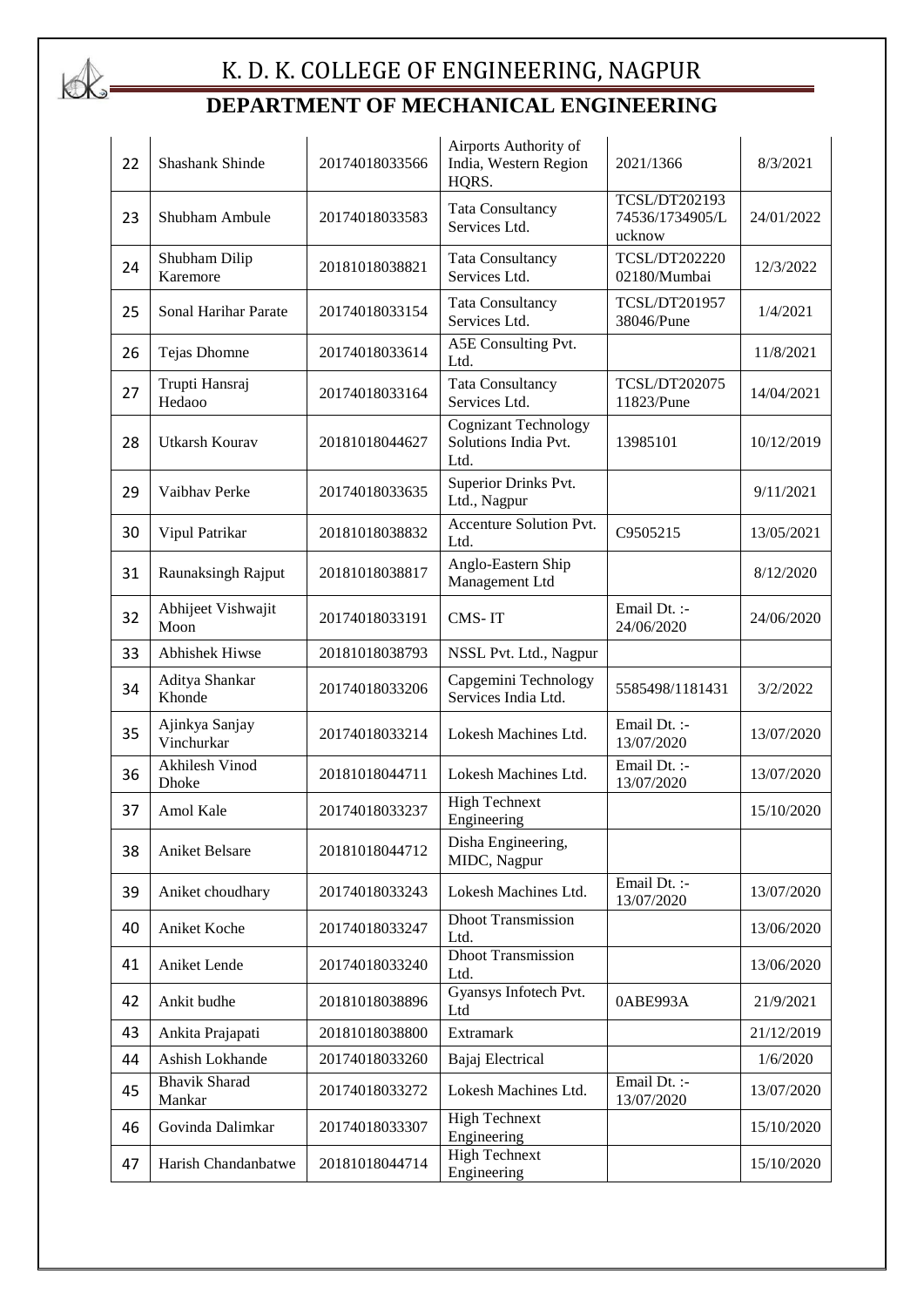

# K. D. K. COLLEGE OF ENGINEERING, NAGPUR **DEPARTMENT OF MECHANICAL ENGINEERING**

| 22 | Shashank Shinde                | 20174018033566 | Airports Authority of<br>India, Western Region<br>HQRS.     | 2021/1366                                  | 8/3/2021   |
|----|--------------------------------|----------------|-------------------------------------------------------------|--------------------------------------------|------------|
| 23 | Shubham Ambule                 | 20174018033583 | <b>Tata Consultancy</b><br>Services Ltd.                    | TCSL/DT202193<br>74536/1734905/L<br>ucknow | 24/01/2022 |
| 24 | Shubham Dilip<br>Karemore      | 20181018038821 | <b>Tata Consultancy</b><br>Services Ltd.                    | <b>TCSL/DT202220</b><br>02180/Mumbai       | 12/3/2022  |
| 25 | Sonal Harihar Parate           | 20174018033154 | <b>Tata Consultancy</b><br>Services Ltd.                    | <b>TCSL/DT201957</b><br>38046/Pune         | 1/4/2021   |
| 26 | Tejas Dhomne                   | 20174018033614 | A5E Consulting Pvt.<br>Ltd.                                 |                                            | 11/8/2021  |
| 27 | Trupti Hansraj<br>Hedaoo       | 20174018033164 | <b>Tata Consultancy</b><br>Services Ltd.                    | <b>TCSL/DT202075</b><br>11823/Pune         | 14/04/2021 |
| 28 | <b>Utkarsh Kourav</b>          | 20181018044627 | <b>Cognizant Technology</b><br>Solutions India Pvt.<br>Ltd. | 13985101                                   | 10/12/2019 |
| 29 | Vaibhav Perke                  | 20174018033635 | Superior Drinks Pvt.<br>Ltd., Nagpur                        |                                            | 9/11/2021  |
| 30 | Vipul Patrikar                 | 20181018038832 | Accenture Solution Pvt.<br>Ltd.                             | C9505215                                   | 13/05/2021 |
| 31 | Raunaksingh Rajput             | 20181018038817 | Anglo-Eastern Ship<br>Management Ltd                        |                                            | 8/12/2020  |
| 32 | Abhijeet Vishwajit<br>Moon     | 20174018033191 | CMS-IT                                                      | Email Dt. :-<br>24/06/2020                 | 24/06/2020 |
| 33 | <b>Abhishek Hiwse</b>          | 20181018038793 | NSSL Pvt. Ltd., Nagpur                                      |                                            |            |
| 34 | Aditya Shankar<br>Khonde       | 20174018033206 | Capgemini Technology<br>Services India Ltd.                 | 5585498/1181431                            | 3/2/2022   |
| 35 | Ajinkya Sanjay<br>Vinchurkar   | 20174018033214 | Lokesh Machines Ltd.                                        | Email Dt. :-<br>13/07/2020                 | 13/07/2020 |
| 36 | <b>Akhilesh Vinod</b><br>Dhoke | 20181018044711 | Lokesh Machines Ltd.                                        | Email Dt. :-<br>13/07/2020                 | 13/07/2020 |
| 37 | Amol Kale                      | 20174018033237 | <b>High Technext</b><br>Engineering                         |                                            | 15/10/2020 |
| 38 | <b>Aniket Belsare</b>          | 20181018044712 | Disha Engineering,<br>MIDC, Nagpur                          |                                            |            |
| 39 | Aniket choudhary               | 20174018033243 | Lokesh Machines Ltd.                                        | Email Dt. :-<br>13/07/2020                 | 13/07/2020 |
| 40 | Aniket Koche                   | 20174018033247 | <b>Dhoot Transmission</b><br>Ltd.                           |                                            | 13/06/2020 |
| 41 | Aniket Lende                   | 20174018033240 | <b>Dhoot Transmission</b><br>Ltd.                           |                                            | 13/06/2020 |
| 42 | Ankit budhe                    | 20181018038896 | Gyansys Infotech Pvt.<br>Ltd                                | 0ABE993A                                   | 21/9/2021  |
| 43 | Ankita Prajapati               | 20181018038800 | <b>Extramark</b>                                            |                                            | 21/12/2019 |
| 44 | Ashish Lokhande                | 20174018033260 | Bajaj Electrical                                            |                                            | 1/6/2020   |
| 45 | <b>Bhavik Sharad</b><br>Mankar | 20174018033272 | Lokesh Machines Ltd.                                        | Email Dt. :-<br>13/07/2020                 | 13/07/2020 |
| 46 | Govinda Dalimkar               | 20174018033307 | <b>High Technext</b><br>Engineering                         |                                            | 15/10/2020 |
| 47 | Harish Chandanbatwe            | 20181018044714 | <b>High Technext</b><br>Engineering                         |                                            | 15/10/2020 |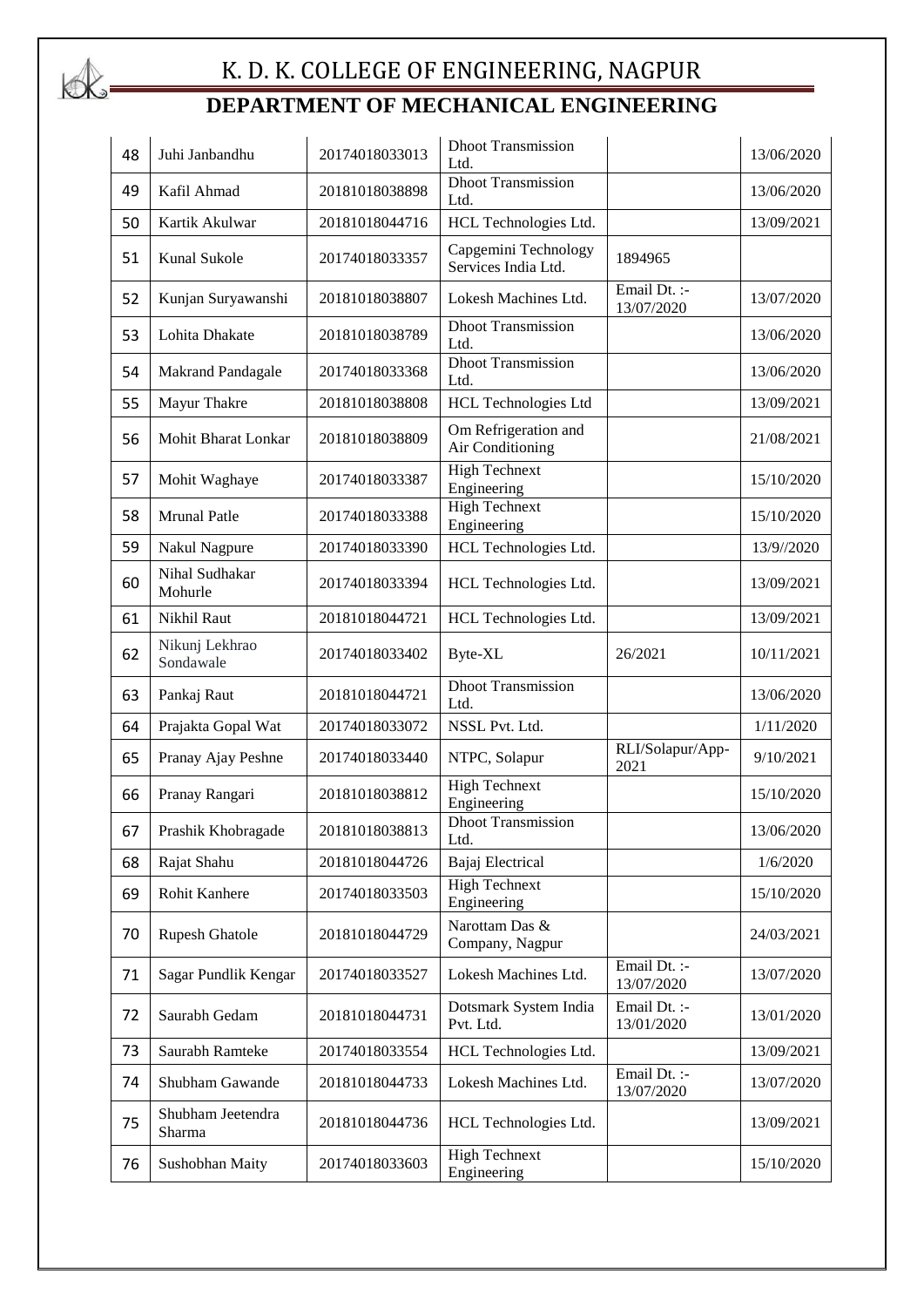

# K. D. K. COLLEGE OF ENGINEERING, NAGPUR **DEPARTMENT OF MECHANICAL ENGINEERING**

| 48 | Juhi Janbandhu              | 20174018033013 | <b>Dhoot Transmission</b><br>Ltd.           |                            | 13/06/2020 |
|----|-----------------------------|----------------|---------------------------------------------|----------------------------|------------|
| 49 | Kafil Ahmad                 | 20181018038898 | <b>Dhoot Transmission</b><br>Ltd.           |                            | 13/06/2020 |
| 50 | Kartik Akulwar              | 20181018044716 | HCL Technologies Ltd.                       |                            | 13/09/2021 |
| 51 | Kunal Sukole                | 20174018033357 | Capgemini Technology<br>Services India Ltd. | 1894965                    |            |
| 52 | Kunjan Suryawanshi          | 20181018038807 | Lokesh Machines Ltd.                        | Email Dt. :-<br>13/07/2020 | 13/07/2020 |
| 53 | Lohita Dhakate              | 20181018038789 | <b>Dhoot Transmission</b><br>Ltd.           |                            | 13/06/2020 |
| 54 | <b>Makrand Pandagale</b>    | 20174018033368 | <b>Dhoot Transmission</b><br>Ltd.           |                            | 13/06/2020 |
| 55 | Mayur Thakre                | 20181018038808 | <b>HCL Technologies Ltd</b>                 |                            | 13/09/2021 |
| 56 | Mohit Bharat Lonkar         | 20181018038809 | Om Refrigeration and<br>Air Conditioning    |                            | 21/08/2021 |
| 57 | Mohit Waghaye               | 20174018033387 | <b>High Technext</b><br>Engineering         |                            | 15/10/2020 |
| 58 | <b>Mrunal Patle</b>         | 20174018033388 | <b>High Technext</b><br>Engineering         |                            | 15/10/2020 |
| 59 | <b>Nakul Nagpure</b>        | 20174018033390 | HCL Technologies Ltd.                       |                            | 13/9//2020 |
| 60 | Nihal Sudhakar<br>Mohurle   | 20174018033394 | HCL Technologies Ltd.                       |                            | 13/09/2021 |
| 61 | Nikhil Raut                 | 20181018044721 | HCL Technologies Ltd.                       |                            | 13/09/2021 |
| 62 | Nikunj Lekhrao<br>Sondawale | 20174018033402 | Byte-XL                                     | 26/2021                    | 10/11/2021 |
| 63 | Pankaj Raut                 | 20181018044721 | <b>Dhoot Transmission</b><br>Ltd.           |                            | 13/06/2020 |
| 64 | Prajakta Gopal Wat          | 20174018033072 | NSSL Pvt. Ltd.                              |                            | 1/11/2020  |
| 65 | Pranay Ajay Peshne          | 20174018033440 | NTPC, Solapur                               | RLI/Solapur/App-<br>2021   | 9/10/2021  |
| 66 | Pranay Rangari              | 20181018038812 | <b>High Technext</b><br>Engineering         |                            | 15/10/2020 |
| 67 | Prashik Khobragade          | 20181018038813 | <b>Dhoot Transmission</b><br>Ltd.           |                            | 13/06/2020 |
| 68 | Rajat Shahu                 | 20181018044726 | Bajaj Electrical                            |                            | 1/6/2020   |
| 69 | Rohit Kanhere               | 20174018033503 | <b>High Technext</b><br>Engineering         |                            | 15/10/2020 |
| 70 | Rupesh Ghatole              | 20181018044729 | Narottam Das &<br>Company, Nagpur           |                            | 24/03/2021 |
| 71 | Sagar Pundlik Kengar        | 20174018033527 | Lokesh Machines Ltd.                        | Email Dt. :-<br>13/07/2020 | 13/07/2020 |
| 72 | Saurabh Gedam               | 20181018044731 | Dotsmark System India<br>Pvt. Ltd.          | Email Dt. :-<br>13/01/2020 | 13/01/2020 |
| 73 | Saurabh Ramteke             | 20174018033554 | HCL Technologies Ltd.                       |                            | 13/09/2021 |
| 74 | Shubham Gawande             | 20181018044733 | Lokesh Machines Ltd.                        | Email Dt. :-<br>13/07/2020 | 13/07/2020 |
| 75 | Shubham Jeetendra<br>Sharma | 20181018044736 | HCL Technologies Ltd.                       |                            | 13/09/2021 |
| 76 | Sushobhan Maity             | 20174018033603 | <b>High Technext</b><br>Engineering         |                            | 15/10/2020 |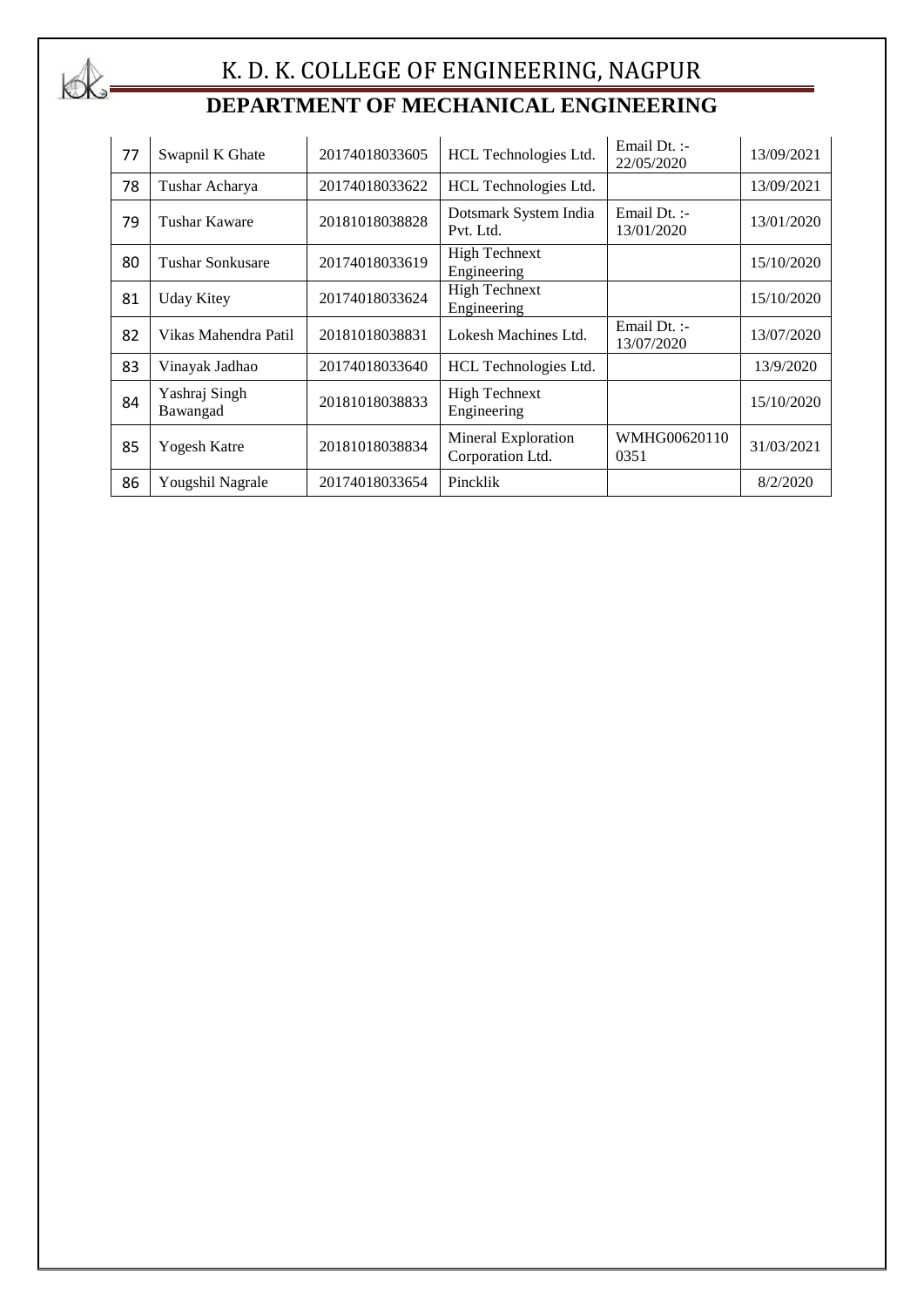

# K. D. K. COLLEGE OF ENGINEERING, NAGPUR **DEPARTMENT OF MECHANICAL ENGINEERING**

| 77 | Swapnil K Ghate           | 20174018033605 | HCL Technologies Ltd.                   | Email $Dt.$ :-<br>22/05/2020 | 13/09/2021 |
|----|---------------------------|----------------|-----------------------------------------|------------------------------|------------|
| 78 | Tushar Acharya            | 20174018033622 | HCL Technologies Ltd.                   |                              | 13/09/2021 |
| 79 | Tushar Kaware             | 20181018038828 | Dotsmark System India<br>Pvt. Ltd.      | Email $Dt.$ :-<br>13/01/2020 | 13/01/2020 |
| 80 | Tushar Sonkusare          | 20174018033619 | <b>High Technext</b><br>Engineering     |                              | 15/10/2020 |
| 81 | <b>Uday Kitey</b>         | 20174018033624 | <b>High Technext</b><br>Engineering     |                              | 15/10/2020 |
| 82 | Vikas Mahendra Patil      | 20181018038831 | Lokesh Machines Ltd.                    | Email Dt. :-<br>13/07/2020   | 13/07/2020 |
| 83 | Vinayak Jadhao            | 20174018033640 | HCL Technologies Ltd.                   |                              | 13/9/2020  |
| 84 | Yashraj Singh<br>Bawangad | 20181018038833 | <b>High Technext</b><br>Engineering     |                              | 15/10/2020 |
| 85 | Yogesh Katre              | 20181018038834 | Mineral Exploration<br>Corporation Ltd. | WMHG00620110<br>0351         | 31/03/2021 |
| 86 | Yougshil Nagrale          | 20174018033654 | Pincklik                                |                              | 8/2/2020   |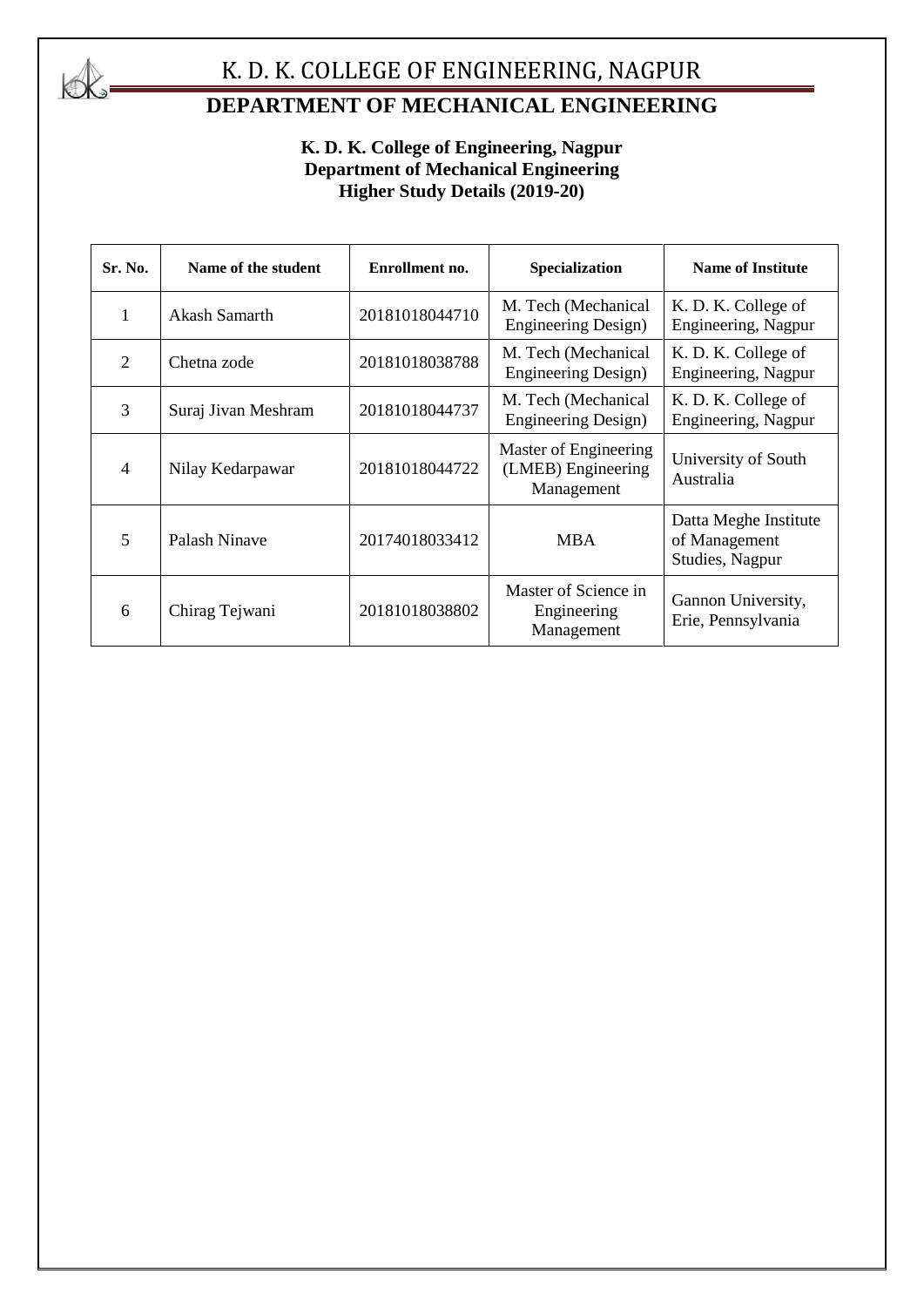

# K. D. K. COLLEGE OF ENGINEERING, NAGPUR

# **DEPARTMENT OF MECHANICAL ENGINEERING**

### **K. D. K. College of Engineering, Nagpur Department of Mechanical Engineering Higher Study Details (2019-20)**

| Sr. No.        | Name of the student | Enrollment no. | Specialization                                            | <b>Name of Institute</b>                                  |
|----------------|---------------------|----------------|-----------------------------------------------------------|-----------------------------------------------------------|
| 1              | Akash Samarth       | 20181018044710 | M. Tech (Mechanical<br>Engineering Design)                | K. D. K. College of<br>Engineering, Nagpur                |
| $\overline{2}$ | Chetna zode         | 20181018038788 | M. Tech (Mechanical<br><b>Engineering Design)</b>         | K. D. K. College of<br>Engineering, Nagpur                |
| 3              | Suraj Jivan Meshram | 20181018044737 | M. Tech (Mechanical<br><b>Engineering Design)</b>         | K. D. K. College of<br>Engineering, Nagpur                |
| $\overline{4}$ | Nilay Kedarpawar    | 20181018044722 | Master of Engineering<br>(LMEB) Engineering<br>Management | University of South<br>Australia                          |
| 5              | Palash Ninave       | 20174018033412 | <b>MBA</b>                                                | Datta Meghe Institute<br>of Management<br>Studies, Nagpur |
| 6              | Chirag Tejwani      | 20181018038802 | Master of Science in<br>Engineering<br>Management         | Gannon University,<br>Erie, Pennsylvania                  |